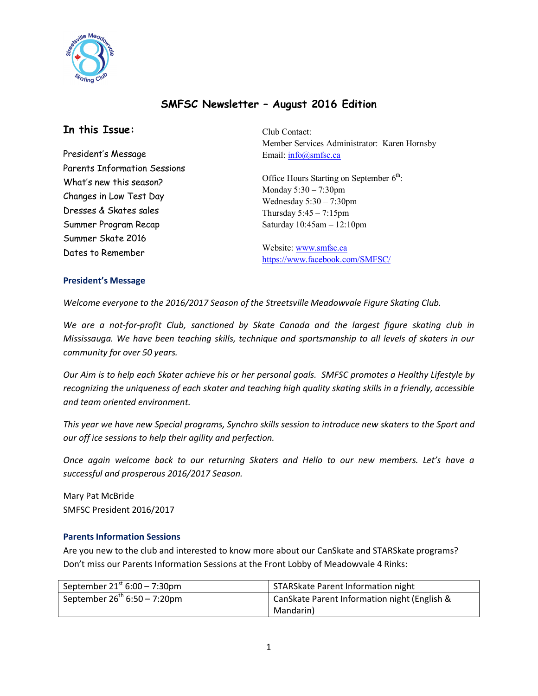

# **SMFSC Newsletter – August 2016 Edition**

# **In this Issue:**

President's Message Parents Information Sessions What's new this season? Changes in Low Test Day Dresses & Skates sales Summer Program Recap Summer Skate 2016 Dates to Remember

Club Contact: Member Services Administrator: Karen Hornsby Email: info@smfsc.ca

Office Hours Starting on September  $6<sup>th</sup>$ : Monday 5:30 – 7:30pm Wednesday  $5:30 - 7:30$ pm Thursday 5:45 – 7:15pm Saturday 10:45am – 12:10pm

Website: www.smfsc.ca https://www.facebook.com/SMFSC/

## **President's Message**

*Welcome everyone to the 2016/2017 Season of the Streetsville Meadowvale Figure Skating Club.*

*We are a not-for-profit Club, sanctioned by Skate Canada and the largest figure skating club in Mississauga. We have been teaching skills, technique and sportsmanship to all levels of skaters in our community for over 50 years.* 

*Our Aim is to help each Skater achieve his or her personal goals. SMFSC promotes a Healthy Lifestyle by recognizing the uniqueness of each skater and teaching high quality skating skills in a friendly, accessible and team oriented environment.*

*This year we have new Special programs, Synchro skills session to introduce new skaters to the Sport and our off ice sessions to help their agility and perfection.*

*Once again welcome back to our returning Skaters and Hello to our new members. Let's have a successful and prosperous 2016/2017 Season.*

Mary Pat McBride SMFSC President 2016/2017

### **Parents Information Sessions**

Are you new to the club and interested to know more about our CanSkate and STARSkate programs? Don't miss our Parents Information Sessions at the Front Lobby of Meadowvale 4 Rinks:

| September $21^{st}$ 6:00 – 7:30pm | STARSkate Parent Information night           |
|-----------------------------------|----------------------------------------------|
| September $26^{th}$ 6:50 - 7:20pm | CanSkate Parent Information night (English & |
|                                   | Mandarin)                                    |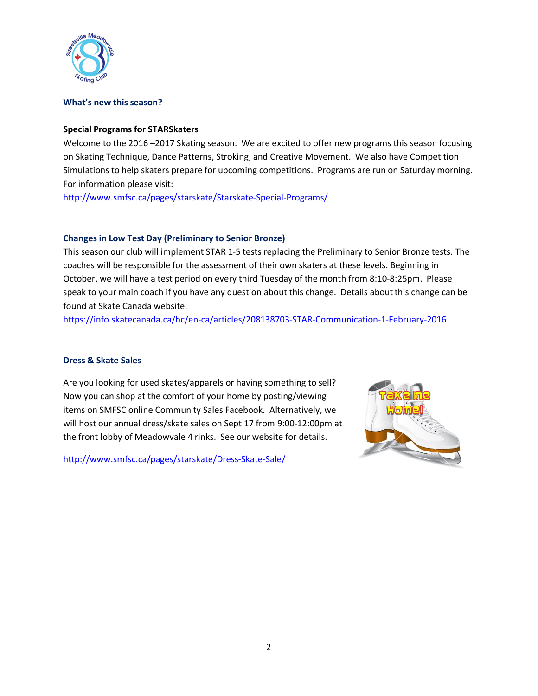

#### **What's new this season?**

#### **Special Programs for STARSkaters**

Welcome to the 2016 –2017 Skating season. We are excited to offer new programs this season focusing on Skating Technique, Dance Patterns, Stroking, and Creative Movement. We also have Competition Simulations to help skaters prepare for upcoming competitions. Programs are run on Saturday morning. For information please visit:

http://www.smfsc.ca/pages/starskate/Starskate-Special-Programs/

### **Changes in Low Test Day (Preliminary to Senior Bronze)**

This season our club will implement STAR 1-5 tests replacing the Preliminary to Senior Bronze tests. The coaches will be responsible for the assessment of their own skaters at these levels. Beginning in October, we will have a test period on every third Tuesday of the month from 8:10-8:25pm. Please speak to your main coach if you have any question about this change. Details about this change can be found at Skate Canada website.

https://info.skatecanada.ca/hc/en-ca/articles/208138703-STAR-Communication-1-February-2016

### **Dress & Skate Sales**

Are you looking for used skates/apparels or having something to sell? Now you can shop at the comfort of your home by posting/viewing items on SMFSC online Community Sales Facebook. Alternatively, we will host our annual dress/skate sales on Sept 17 from 9:00-12:00pm at the front lobby of Meadowvale 4 rinks. See our website for details.

http://www.smfsc.ca/pages/starskate/Dress-Skate-Sale/

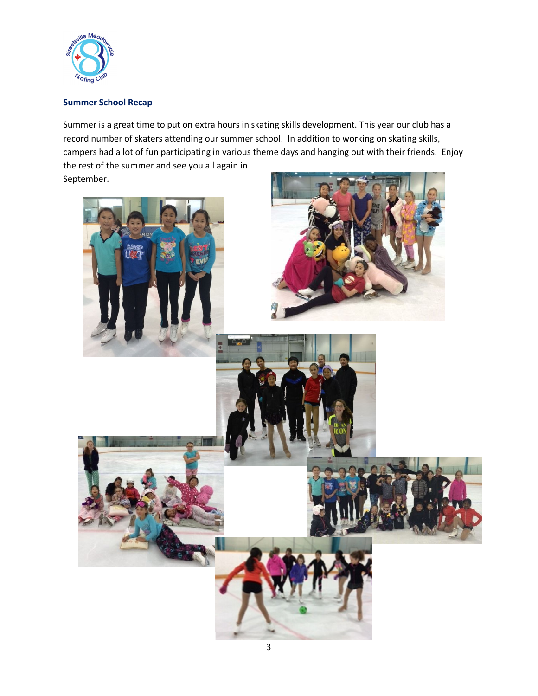

## **Summer School Recap**

Summer is a great time to put on extra hours in skating skills development. This year our club has a record number of skaters attending our summer school. In addition to working on skating skills, campers had a lot of fun participating in various theme days and hanging out with their friends. Enjoy the rest of the summer and see you all again in September.